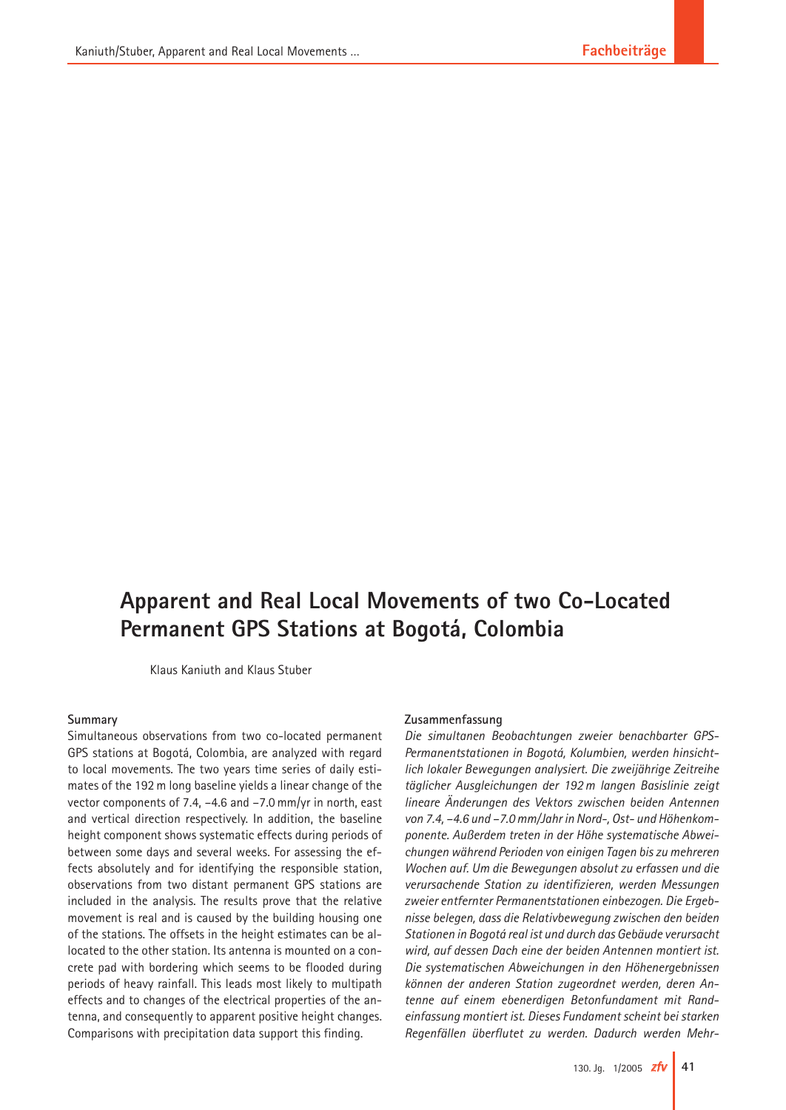# **Apparent and Real Local Movements of two Co-Located Permanent GPS Stations at Bogotá, Colombia**

Klaus Kaniuth and Klaus Stuber

### **Summary**

Simultaneous observations from two co-located permanent GPS stations at Bogotá, Colombia, are analyzed with regard to local movements. The two years time series of daily estimates of the 192 m long baseline yields a linear change of the vector components of 7.4, –4.6 and –7.0 mm/yr in north, east and vertical direction respectively. In addition, the baseline height component shows systematic effects during periods of between some days and several weeks. For assessing the effects absolutely and for identifying the responsible station, observations from two distant permanent GPS stations are included in the analysis. The results prove that the relative movement is real and is caused by the building housing one of the stations. The offsets in the height estimates can be allocated to the other station. Its antenna is mounted on a concrete pad with bordering which seems to be flooded during periods of heavy rainfall. This leads most likely to multipath effects and to changes of the electrical properties of the antenna, and consequently to apparent positive height changes. Comparisons with precipitation data support this finding.

#### **Zusammenfassung**

*Die simultanen Beobachtungen zweier benachbarter GPS-Permanentstationen in Bogotá, Kolumbien, werden hinsichtlich lokaler Bewegungen analysiert. Die zweijährige Zeitreihe täglicher Ausgleichungen der 192 m langen Basislinie zeigt lineare Änderungen des Vektors zwischen beiden Antennen von 7.4, –4.6 und –7.0 mm/Jahr in Nord-, Ost- und Höhenkomponente. Außerdem treten in der Höhe systematische Abweichungen während Perioden von einigen Tagen bis zu mehreren Wochen auf. Um die Bewegungen absolut zu erfassen und die verursachende Station zu identifizieren, werden Messungen zweier entfernter Permanentstationen einbezogen. Die Ergebnisse belegen, dass die Relativbewegung zwischen den beiden Stationen in Bogotá real ist und durch das Gebäude verursacht wird, auf dessen Dach eine der beiden Antennen montiert ist. Die systematischen Abweichungen in den Höhenergebnissen können der anderen Station zugeordnet werden, deren Antenne auf einem ebenerdigen Betonfundament mit Randeinfassung montiert ist. Dieses Fundament scheint bei starken Regenfällen überflutet zu werden. Dadurch werden Mehr-*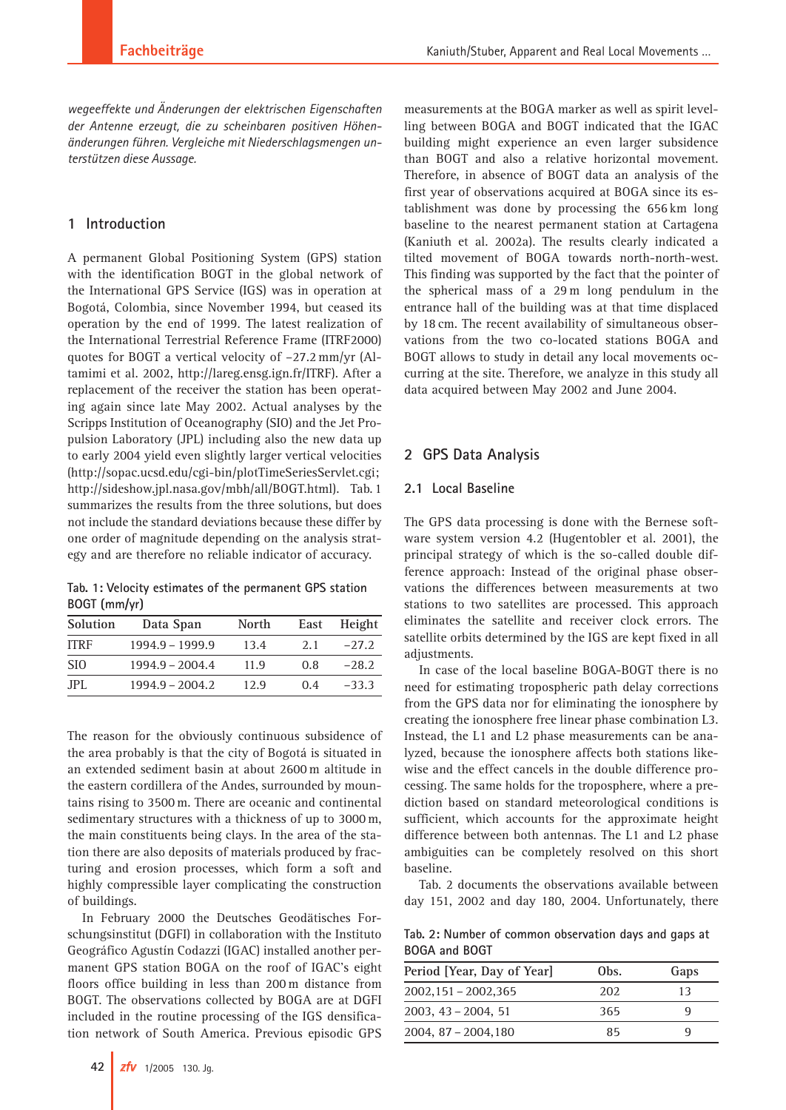*wegeeffekte und Änderungen der elektrischen Eigenschaften der Antenne erzeugt, die zu scheinbaren positiven Höhenänderungen führen. Vergleiche mit Niederschlagsmengen unterstützen diese Aussage.*

## **1 Introduction**

A permanent Global Positioning System (GPS) station with the identification BOGT in the global network of the International GPS Service (IGS) was in operation at Bogotá, Colombia, since November 1994, but ceased its operation by the end of 1999. The latest realization of the International Terrestrial Reference Frame (ITRF2000) quotes for BOGT a vertical velocity of –27.2 mm/yr (Altamimi et al. 2002, http://lareg.ensg.ign.fr/ITRF). After a replacement of the receiver the station has been operating again since late May 2002. Actual analyses by the Scripps Institution of Oceanography (SIO) and the Jet Propulsion Laboratory (JPL) including also the new data up to early 2004 yield even slightly larger vertical velocities (http://sopac.ucsd.edu/cgi-bin/plotTimeSeriesServlet.cgi; http://sideshow.jpl.nasa.gov/mbh/all/BOGT.html). Tab. 1 summarizes the results from the three solutions, but does not include the standard deviations because these differ by one order of magnitude depending on the analysis strategy and are therefore no reliable indicator of accuracy.

**Tab. 1: Velocity estimates of the permanent GPS station BOGT (mm/yr)**

| Solution        | Data Span         | North | East | Height  |
|-----------------|-------------------|-------|------|---------|
| <b>ITRF</b>     | $1994.9 - 1999.9$ | 13.4  | 2.1  | $-27.2$ |
| SI <sub>0</sub> | $1994.9 - 2004.4$ | 11.9  | 0.8  | $-28.2$ |
| JPL.            | $1994.9 - 2004.2$ | 12.9  | 0.4  | $-33.3$ |

The reason for the obviously continuous subsidence of the area probably is that the city of Bogotá is situated in an extended sediment basin at about 2600 m altitude in the eastern cordillera of the Andes, surrounded by mountains rising to 3500 m. There are oceanic and continental sedimentary structures with a thickness of up to 3000 m, the main constituents being clays. In the area of the station there are also deposits of materials produced by fracturing and erosion processes, which form a soft and highly compressible layer complicating the construction of buildings.

In February 2000 the Deutsches Geodätisches Forschungsinstitut (DGFI) in collaboration with the Instituto Geográfico Agustín Codazzi (IGAC) installed another permanent GPS station BOGA on the roof of IGAC's eight floors office building in less than 200 m distance from BOGT. The observations collected by BOGA are at DGFI included in the routine processing of the IGS densification network of South America. Previous episodic GPS measurements at the BOGA marker as well as spirit levelling between BOGA and BOGT indicated that the IGAC building might experience an even larger subsidence than BOGT and also a relative horizontal movement. Therefore, in absence of BOGT data an analysis of the first year of observations acquired at BOGA since its establishment was done by processing the 656 km long baseline to the nearest permanent station at Cartagena (Kaniuth et al. 2002a). The results clearly indicated a tilted movement of BOGA towards north-north-west. This finding was supported by the fact that the pointer of the spherical mass of a 29 m long pendulum in the entrance hall of the building was at that time displaced by 18 cm. The recent availability of simultaneous observations from the two co-located stations BOGA and BOGT allows to study in detail any local movements occurring at the site. Therefore, we analyze in this study all data acquired between May 2002 and June 2004.

## **2 GPS Data Analysis**

## **2.1 Local Baseline**

The GPS data processing is done with the Bernese software system version 4.2 (Hugentobler et al. 2001), the principal strategy of which is the so-called double difference approach: Instead of the original phase observations the differences between measurements at two stations to two satellites are processed. This approach eliminates the satellite and receiver clock errors. The satellite orbits determined by the IGS are kept fixed in all adjustments.

In case of the local baseline BOGA-BOGT there is no need for estimating tropospheric path delay corrections from the GPS data nor for eliminating the ionosphere by creating the ionosphere free linear phase combination L3. Instead, the L1 and L2 phase measurements can be analyzed, because the ionosphere affects both stations likewise and the effect cancels in the double difference processing. The same holds for the troposphere, where a prediction based on standard meteorological conditions is sufficient, which accounts for the approximate height difference between both antennas. The L1 and L2 phase ambiguities can be completely resolved on this short baseline.

Tab. 2 documents the observations available between day 151, 2002 and day 180, 2004. Unfortunately, there

**Tab. 2: Number of common observation days and gaps at BOGA and BOGT**

| Period [Year, Day of Year] | Obs. | Gaps |
|----------------------------|------|------|
| $2002,151 - 2002,365$      | 202  | 13   |
| $2003, 43 - 2004, 51$      | 365  |      |
| $2004, 87 - 2004, 180$     | 85   |      |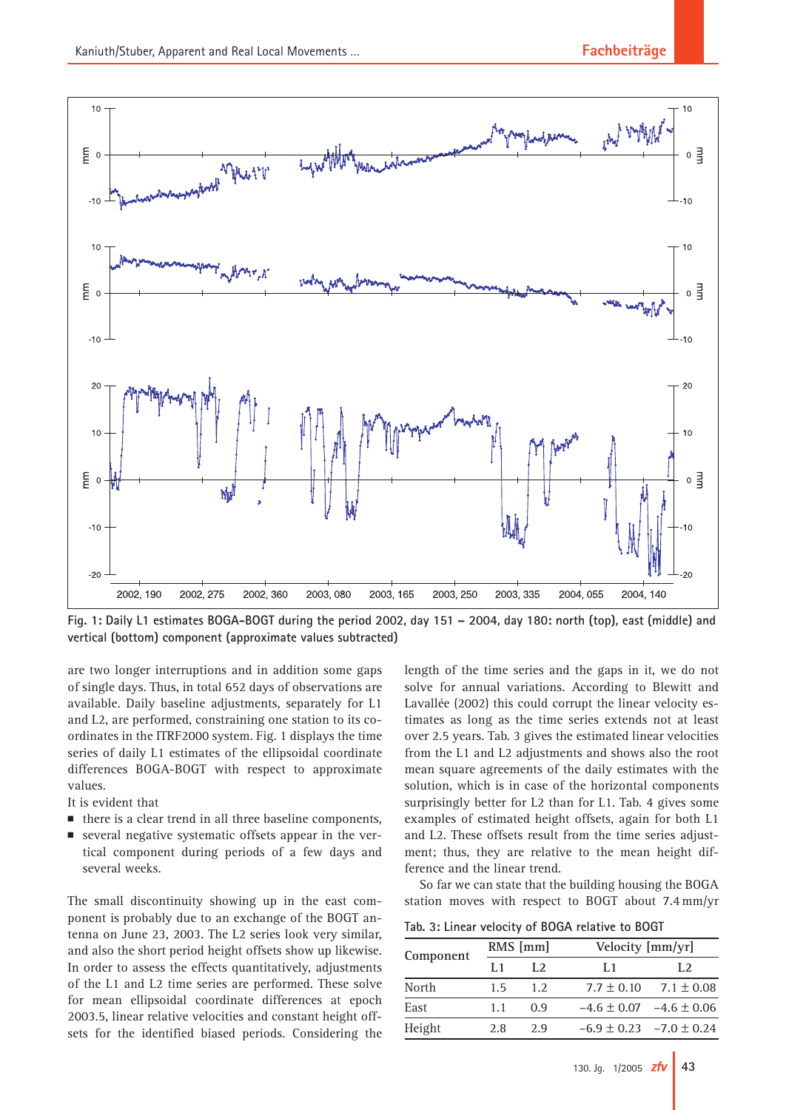

**Fig. 1: Daily L1 estimates BOGA-BOGT during the period 2002, day 151 – 2004, day 180: north (top), east (middle) and vertical (bottom) component (approximate values subtracted)**

are two longer interruptions and in addition some gaps of single days. Thus, in total 652 days of observations are available. Daily baseline adjustments, separately for L1 and L2, are performed, constraining one station to its coordinates in the ITRF2000 system. Fig. 1 displays the time series of daily L1 estimates of the ellipsoidal coordinate differences BOGA-BOGT with respect to approximate values.

It is evident that

- there is a clear trend in all three baseline components,
- several negative systematic offsets appear in the vertical component during periods of a few days and several weeks.

The small discontinuity showing up in the east component is probably due to an exchange of the BOGT antenna on June 23, 2003. The L2 series look very similar, and also the short period height offsets show up likewise. In order to assess the effects quantitatively, adjustments of the L1 and L2 time series are performed. These solve for mean ellipsoidal coordinate differences at epoch 2003.5, linear relative velocities and constant height offsets for the identified biased periods. Considering the length of the time series and the gaps in it, we do not solve for annual variations. According to Blewitt and Lavallée (2002) this could corrupt the linear velocity estimates as long as the time series extends not at least over 2.5 years. Tab. 3 gives the estimated linear velocities from the L1 and L2 adjustments and shows also the root mean square agreements of the daily estimates with the solution, which is in case of the horizontal components surprisingly better for L2 than for L1. Tab. 4 gives some examples of estimated height offsets, again for both L1 and L2. These offsets result from the time series adjustment; thus, they are relative to the mean height difference and the linear trend.

So far we can state that the building housing the BOGA station moves with respect to BOGT about 7.4 mm/yr

**Tab. 3: Linear velocity of BOGA relative to BOGT**

| Component | RMS [mm] |     | Velocity [mm/yr] |                                 |  |
|-----------|----------|-----|------------------|---------------------------------|--|
|           | 1.1      | L2  | L1               | L2                              |  |
| North     | 1.5      | 1.2 | $7.7 \pm 0.10$   | $7.1 \pm 0.08$                  |  |
| East      | 1.1      | 0.9 |                  | $-4.6 \pm 0.07$ $-4.6 \pm 0.06$ |  |
| Height    | 2.8      | 2.9 |                  | $-6.9 \pm 0.23$ $-7.0 \pm 0.24$ |  |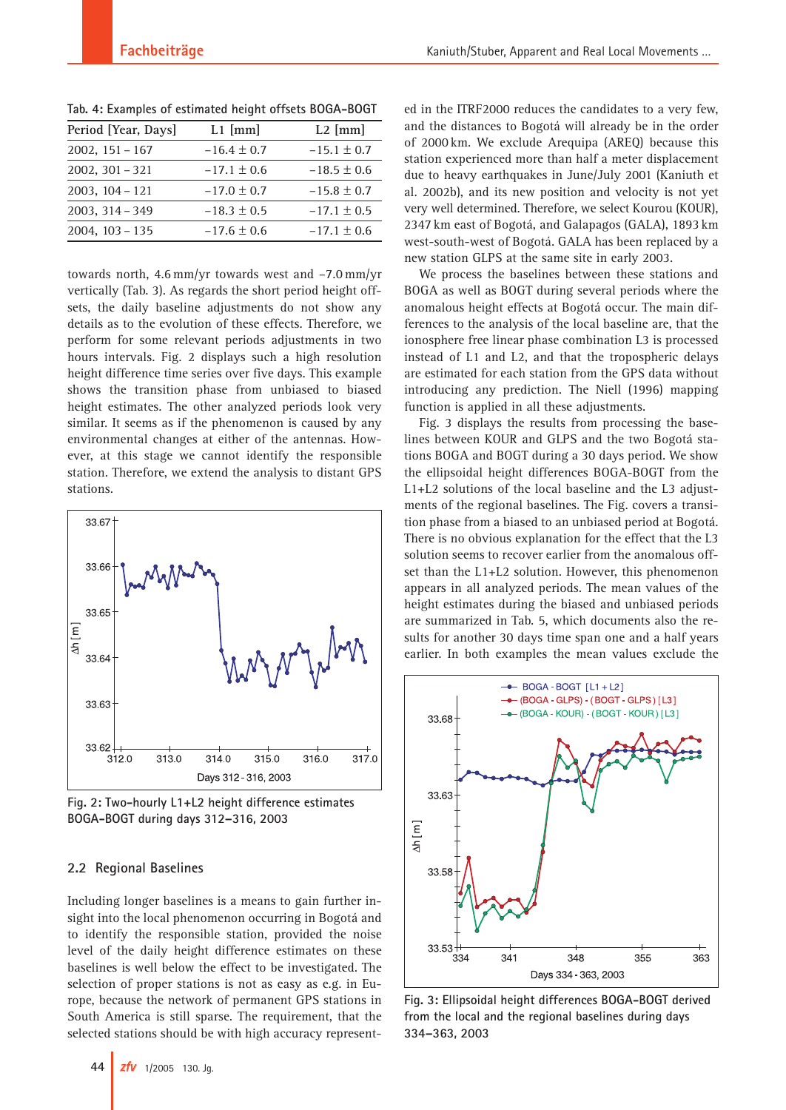| Period [Year, Days] | $L1$ [mm]       | $L2$ [mm]       |
|---------------------|-----------------|-----------------|
| $2002, 151 - 167$   | $-16.4 \pm 0.7$ | $-15.1 \pm 0.7$ |
| $2002, 301 - 321$   | $-17.1 \pm 0.6$ | $-18.5 \pm 0.6$ |
| $2003, 104 - 121$   | $-17.0 \pm 0.7$ | $-15.8 \pm 0.7$ |
| $2003, 314 - 349$   | $-18.3 \pm 0.5$ | $-17.1 \pm 0.5$ |
| $2004, 103 - 135$   | $-17.6 \pm 0.6$ | $-17.1 \pm 0.6$ |

**Tab. 4: Examples of estimated height offsets BOGA-BOGT**

towards north, 4.6 mm/yr towards west and –7.0 mm/yr vertically (Tab. 3). As regards the short period height offsets, the daily baseline adjustments do not show any details as to the evolution of these effects. Therefore, we perform for some relevant periods adjustments in two hours intervals. Fig. 2 displays such a high resolution height difference time series over five days. This example shows the transition phase from unbiased to biased height estimates. The other analyzed periods look very similar. It seems as if the phenomenon is caused by any environmental changes at either of the antennas. However, at this stage we cannot identify the responsible station. Therefore, we extend the analysis to distant GPS stations.



**Fig. 2: Two-hourly L1+L2 height difference estimates BOGA-BOGT during days 312–316, 2003**

## **2.2 Regional Baselines**

Including longer baselines is a means to gain further insight into the local phenomenon occurring in Bogotá and to identify the responsible station, provided the noise level of the daily height difference estimates on these baselines is well below the effect to be investigated. The selection of proper stations is not as easy as e.g. in Europe, because the network of permanent GPS stations in South America is still sparse. The requirement, that the selected stations should be with high accuracy represented in the ITRF2000 reduces the candidates to a very few, and the distances to Bogotá will already be in the order of 2000 km. We exclude Arequipa (AREQ) because this station experienced more than half a meter displacement due to heavy earthquakes in June/July 2001 (Kaniuth et al. 2002b), and its new position and velocity is not yet very well determined. Therefore, we select Kourou (KOUR), 2347 km east of Bogotá, and Galapagos (GALA), 1893 km west-south-west of Bogotá. GALA has been replaced by a new station GLPS at the same site in early 2003.

We process the baselines between these stations and BOGA as well as BOGT during several periods where the anomalous height effects at Bogotá occur. The main differences to the analysis of the local baseline are, that the ionosphere free linear phase combination L3 is processed instead of L1 and L2, and that the tropospheric delays are estimated for each station from the GPS data without introducing any prediction. The Niell (1996) mapping function is applied in all these adjustments.

Fig. 3 displays the results from processing the baselines between KOUR and GLPS and the two Bogotá stations BOGA and BOGT during a 30 days period. We show the ellipsoidal height differences BOGA-BOGT from the L1+L2 solutions of the local baseline and the L3 adjustments of the regional baselines. The Fig. covers a transition phase from a biased to an unbiased period at Bogotá. There is no obvious explanation for the effect that the L3 solution seems to recover earlier from the anomalous offset than the L1+L2 solution. However, this phenomenon appears in all analyzed periods. The mean values of the height estimates during the biased and unbiased periods are summarized in Tab. 5, which documents also the results for another 30 days time span one and a half years earlier. In both examples the mean values exclude the



**Fig. 3: Ellipsoidal height differences BOGA-BOGT derived from the local and the regional baselines during days 334–363, 2003**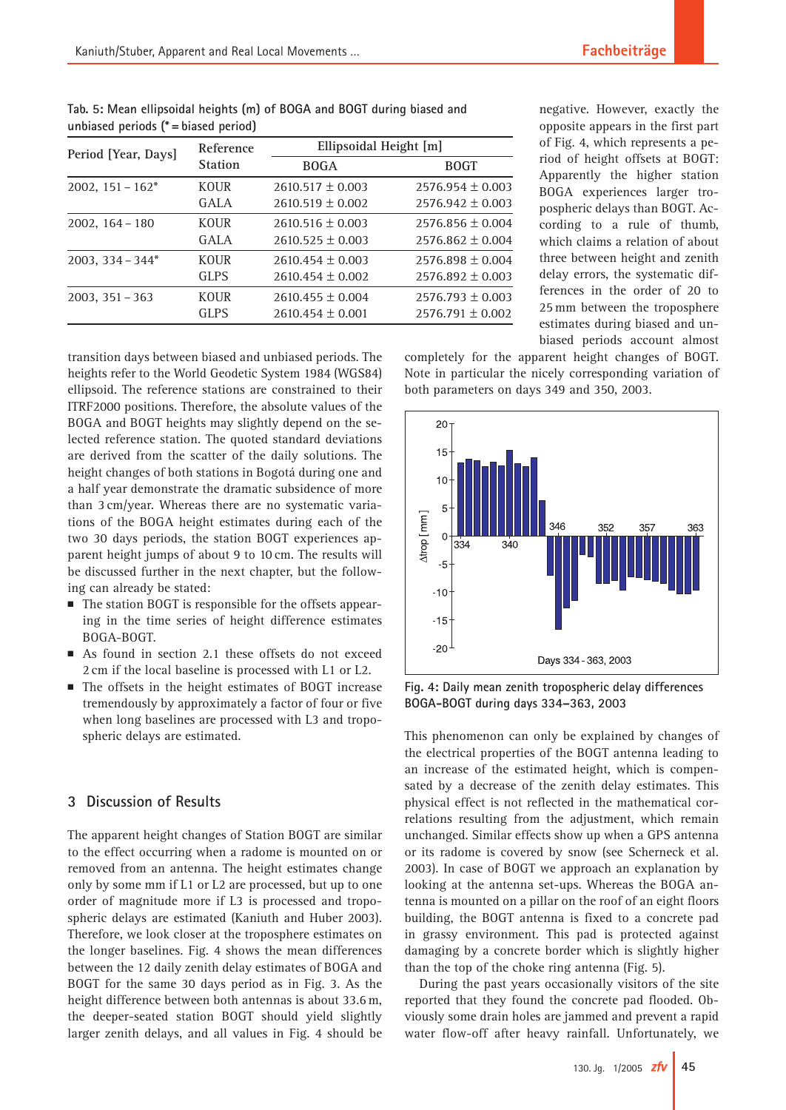| anolabea penoab (colabea penoa) |                             |                        |                      |  |
|---------------------------------|-----------------------------|------------------------|----------------------|--|
| Period [Year, Days]             | Reference<br><b>Station</b> | Ellipsoidal Height [m] |                      |  |
|                                 |                             | <b>BOGA</b>            | <b>BOGT</b>          |  |
| $2002, 151 - 162^*$             | <b>KOUR</b>                 | $2610.517 \pm 0.003$   | $2576.954 \pm 0.003$ |  |
|                                 | GALA                        | $2610.519 \pm 0.002$   | $2576.942 \pm 0.003$ |  |
| $2002, 164 - 180$               | <b>KOUR</b>                 | $2610.516 \pm 0.003$   | $2576.856 \pm 0.004$ |  |
|                                 | GALA                        | $2610.525 \pm 0.003$   | $2576.862 \pm 0.004$ |  |
| $2003, 334 - 344*$              | <b>KOUR</b>                 | $2610.454 \pm 0.003$   | $2576.898 \pm 0.004$ |  |
|                                 | <b>GLPS</b>                 | $2610.454 \pm 0.002$   | $2576.892 \pm 0.003$ |  |
| $2003, 351 - 363$               | <b>KOUR</b>                 | $2610.455 \pm 0.004$   | $2576.793 \pm 0.003$ |  |
|                                 | <b>GLPS</b>                 | $2610.454 \pm 0.001$   | $2576.791 \pm 0.002$ |  |

**Tab. 5: Mean ellipsoidal heights (m) of BOGA and BOGT during biased and unbiased periods (\* = biased period)**

negative. However, exactly the opposite appears in the first part of Fig. 4, which represents a period of height offsets at BOGT: Apparently the higher station BOGA experiences larger tropospheric delays than BOGT. According to a rule of thumb, which claims a relation of about three between height and zenith delay errors, the systematic differences in the order of 20 to 25 mm between the troposphere estimates during biased and unbiased periods account almost

completely for the apparent height changes of BOGT. Note in particular the nicely corresponding variation of both parameters on days 349 and 350, 2003.

transition days between biased and unbiased periods. The heights refer to the World Geodetic System 1984 (WGS84) ellipsoid. The reference stations are constrained to their ITRF2000 positions. Therefore, the absolute values of the BOGA and BOGT heights may slightly depend on the selected reference station. The quoted standard deviations are derived from the scatter of the daily solutions. The height changes of both stations in Bogotá during one and a half year demonstrate the dramatic subsidence of more than 3 cm/year. Whereas there are no systematic variations of the BOGA height estimates during each of the two 30 days periods, the station BOGT experiences apparent height jumps of about 9 to 10 cm. The results will be discussed further in the next chapter, but the following can already be stated:

- The station BOGT is responsible for the offsets appearing in the time series of height difference estimates BOGA-BOGT.
- As found in section 2.1 these offsets do not exceed 2 cm if the local baseline is processed with L1 or L2.
- The offsets in the height estimates of BOGT increase tremendously by approximately a factor of four or five when long baselines are processed with L3 and tropospheric delays are estimated.

# **3 Discussion of Results**

The apparent height changes of Station BOGT are similar to the effect occurring when a radome is mounted on or removed from an antenna. The height estimates change only by some mm if L1 or L2 are processed, but up to one order of magnitude more if L3 is processed and tropospheric delays are estimated (Kaniuth and Huber 2003). Therefore, we look closer at the troposphere estimates on the longer baselines. Fig. 4 shows the mean differences between the 12 daily zenith delay estimates of BOGA and BOGT for the same 30 days period as in Fig. 3. As the height difference between both antennas is about 33.6 m, the deeper-seated station BOGT should yield slightly larger zenith delays, and all values in Fig. 4 should be



**Fig. 4: Daily mean zenith tropospheric delay differences BOGA-BOGT during days 334–363, 2003**

This phenomenon can only be explained by changes of the electrical properties of the BOGT antenna leading to an increase of the estimated height, which is compensated by a decrease of the zenith delay estimates. This physical effect is not reflected in the mathematical correlations resulting from the adjustment, which remain unchanged. Similar effects show up when a GPS antenna or its radome is covered by snow (see Scherneck et al. 2003). In case of BOGT we approach an explanation by looking at the antenna set-ups. Whereas the BOGA antenna is mounted on a pillar on the roof of an eight floors building, the BOGT antenna is fixed to a concrete pad in grassy environment. This pad is protected against damaging by a concrete border which is slightly higher than the top of the choke ring antenna (Fig. 5).

During the past years occasionally visitors of the site reported that they found the concrete pad flooded. Obviously some drain holes are jammed and prevent a rapid water flow-off after heavy rainfall. Unfortunately, we